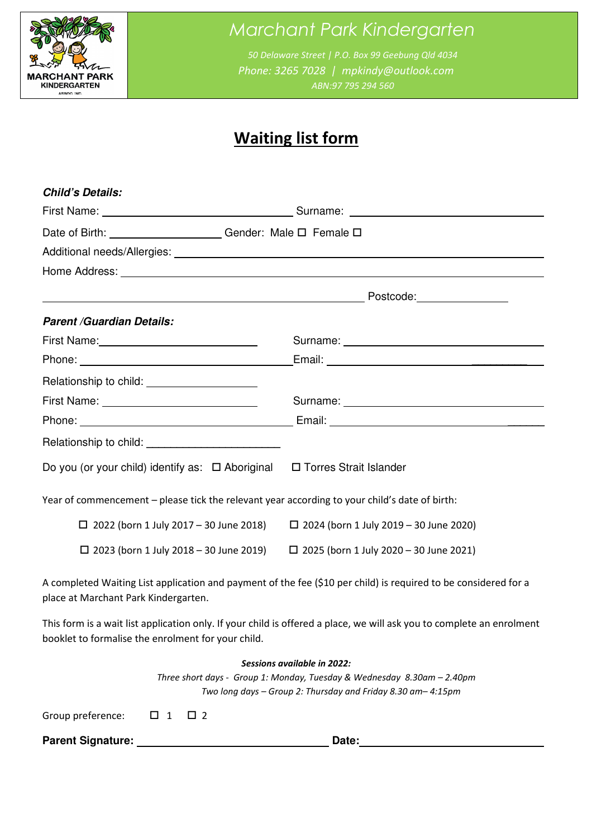

# Marchant Park Kindergarten

 50 Delaware Street | P.O. Box 99 Geebung Qld 4034 Phone: 3265 7028 | mpkindy@outlook.com ABN:97 795 294 560

# Waiting list form

| <b>Child's Details:</b>                                                                                                                                                                                                              |                                                                                                                       |  |  |  |
|--------------------------------------------------------------------------------------------------------------------------------------------------------------------------------------------------------------------------------------|-----------------------------------------------------------------------------------------------------------------------|--|--|--|
|                                                                                                                                                                                                                                      |                                                                                                                       |  |  |  |
| Date of Birth: Cambridge Contract Contract Contract Contract Contract Contract Contract Contract Contract Contract Contract Contract Contract Contract Contract Contract Contract Contract Contract Contract Contract Contract       |                                                                                                                       |  |  |  |
|                                                                                                                                                                                                                                      |                                                                                                                       |  |  |  |
| Home Address: <u>www.community.com and a series of the series of the series of the series of the series of the series of the series of the series of the series of the series of the series of the series of the series of the s</u> |                                                                                                                       |  |  |  |
|                                                                                                                                                                                                                                      |                                                                                                                       |  |  |  |
| <b>Parent /Guardian Details:</b>                                                                                                                                                                                                     |                                                                                                                       |  |  |  |
|                                                                                                                                                                                                                                      |                                                                                                                       |  |  |  |
|                                                                                                                                                                                                                                      |                                                                                                                       |  |  |  |
| Relationship to child: _______________________                                                                                                                                                                                       |                                                                                                                       |  |  |  |
|                                                                                                                                                                                                                                      |                                                                                                                       |  |  |  |
|                                                                                                                                                                                                                                      |                                                                                                                       |  |  |  |
|                                                                                                                                                                                                                                      |                                                                                                                       |  |  |  |
| Do you (or your child) identify as: □ Aboriginal □ Torres Strait Islander                                                                                                                                                            |                                                                                                                       |  |  |  |
| Year of commencement - please tick the relevant year according to your child's date of birth:                                                                                                                                        |                                                                                                                       |  |  |  |
| $\Box$ 2022 (born 1 July 2017 - 30 June 2018)                                                                                                                                                                                        | $\Box$ 2024 (born 1 July 2019 - 30 June 2020)                                                                         |  |  |  |
| $\Box$ 2023 (born 1 July 2018 – 30 June 2019)                                                                                                                                                                                        | $\Box$ 2025 (born 1 July 2020 - 30 June 2021)                                                                         |  |  |  |
| place at Marchant Park Kindergarten.                                                                                                                                                                                                 | A completed Waiting List application and payment of the fee (\$10 per child) is required to be considered for a       |  |  |  |
| booklet to formalise the enrolment for your child.                                                                                                                                                                                   | This form is a wait list application only. If your child is offered a place, we will ask you to complete an enrolment |  |  |  |
| Sessions available in 2022:                                                                                                                                                                                                          |                                                                                                                       |  |  |  |

 Three short days - Group 1: Monday, Tuesday & Wednesday 8.30am – 2.40pm Two long days – Group 2: Thursday and Friday 8.30 am– 4:15pm

Group preference:  $\Box$  1  $\Box$  2

**Parent Signature: Date:**